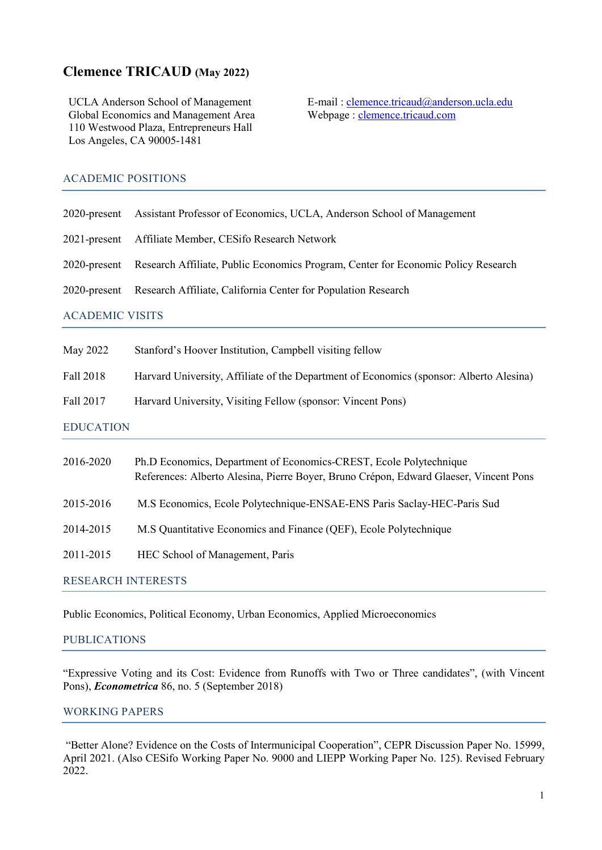# **Clemence TRICAUD (May 2022)**

UCLA Anderson School of Management Global Economics and Management Area 110 Westwood Plaza, Entrepreneurs Hall Los Angeles, CA 90005-1481

E-mail [: clemence.tricaud@anderson.ucla.edu](mailto:clemence.tricaud@anderson.ucla.edu) Webpage : [clemence.tricaud.com](https://www.clemence.tricaud.com/) 

# ACADEMIC POSITIONS

|                        | 2020-present Assistant Professor of Economics, UCLA, Anderson School of Management             |  |
|------------------------|------------------------------------------------------------------------------------------------|--|
|                        | 2021-present Affiliate Member, CESifo Research Network                                         |  |
|                        | 2020-present Research Affiliate, Public Economics Program, Center for Economic Policy Research |  |
|                        | 2020-present Research Affiliate, California Center for Population Research                     |  |
| <b>ACADEMIC VISITS</b> |                                                                                                |  |
|                        |                                                                                                |  |

Fall 2018 Harvard University, Affiliate of the Department of Economics (sponsor: Alberto Alesina)

Fall 2017 Harvard University, Visiting Fellow (sponsor: Vincent Pons)

EDUCATION

| 2016-2020                 | Ph.D Economics, Department of Economics-CREST, Ecole Polytechnique<br>References: Alberto Alesina, Pierre Boyer, Bruno Crépon, Edward Glaeser, Vincent Pons |  |
|---------------------------|-------------------------------------------------------------------------------------------------------------------------------------------------------------|--|
| 2015-2016                 | M.S Economics, Ecole Polytechnique-ENSAE-ENS Paris Saclay-HEC-Paris Sud                                                                                     |  |
| 2014-2015                 | M.S Quantitative Economics and Finance (QEF), Ecole Polytechnique                                                                                           |  |
| 2011-2015                 | HEC School of Management, Paris                                                                                                                             |  |
| <b>RESEARCH INTERESTS</b> |                                                                                                                                                             |  |

Public Economics, Political Economy, Urban Economics, Applied Microeconomics

# PUBLICATIONS

"Expressive Voting and its Cost: Evidence from Runoffs with Two or Three candidates", (with Vincent Pons), *Econometrica* 86, no. 5 (September 2018)

# WORKING PAPERS

"Better Alone? Evidence on the Costs of Intermunicipal Cooperation", CEPR Discussion Paper No. 15999, April 2021. (Also CESifo Working Paper No. 9000 and LIEPP Working Paper No. 125). Revised February 2022.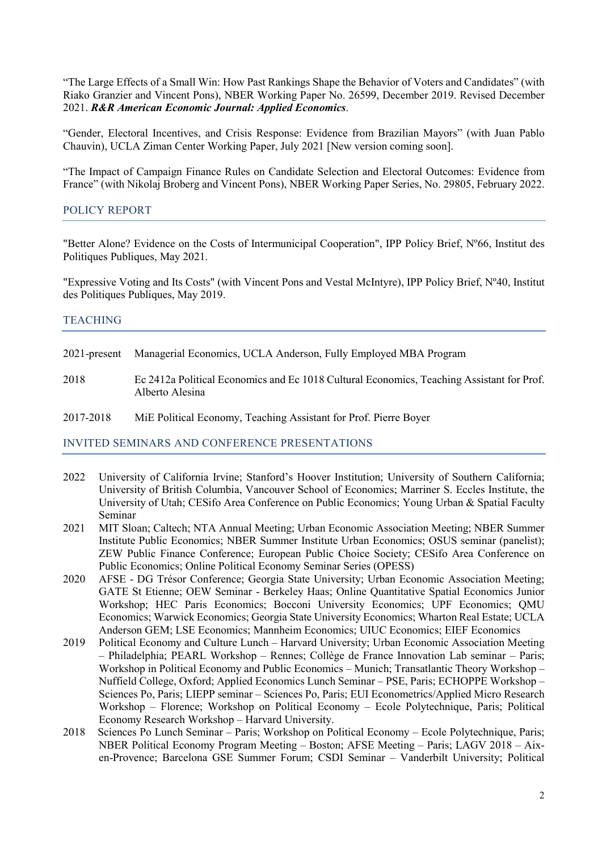"The Large Effects of a Small Win: How Past Rankings Shape the Behavior of Voters and Candidates" (with Riako Granzier and Vincent Pons), NBER Working Paper No. 26599, December 2019. Revised December 2021. *R&R American Economic Journal: Applied Economics*.

"Gender, Electoral Incentives, and Crisis Response: Evidence from Brazilian Mayors" (with Juan Pablo Chauvin), UCLA Ziman Center Working Paper, July 2021 [New version coming soon].

"The Impact of Campaign Finance Rules on Candidate Selection and Electoral Outcomes: Evidence from France" (with Nikolaj Broberg and Vincent Pons), NBER Working Paper Series, No. 29805, February 2022.

## POLICY REPORT

"Better Alone? Evidence on the Costs of Intermunicipal Cooperation", IPP Policy Brief, Nº66, Institut des Politiques Publiques, May 2021.

"Expressive Voting and Its Costs" (with Vincent Pons and Vestal McIntyre), IPP Policy Brief, Nº40, Institut des Politiques Publiques, May 2019.

#### **TEACHING**

- 2021-present Managerial Economics, UCLA Anderson, Fully Employed MBA Program
- 2018 Ec 2412a Political Economics and Ec 1018 Cultural Economics, Teaching Assistant for Prof. Alberto Alesina

2017-2018 MiE Political Economy, Teaching Assistant for Prof. Pierre Boyer

#### INVITED SEMINARS AND CONFERENCE PRESENTATIONS

- 2022 University of California Irvine; Stanford's Hoover Institution; University of Southern California; University of British Columbia, Vancouver School of Economics; Marriner S. Eccles Institute, the University of Utah; CESifo Area Conference on Public Economics; Young Urban & Spatial Faculty Seminar
- 2021 MIT Sloan; Caltech; NTA Annual Meeting; Urban Economic Association Meeting; NBER Summer Institute Public Economics; NBER Summer Institute Urban Economics; OSUS seminar (panelist); ZEW Public Finance Conference; European Public Choice Society; CESifo Area Conference on Public Economics; Online Political Economy Seminar Series (OPESS)
- 2020 AFSE DG Trésor Conference; Georgia State University; Urban Economic Association Meeting; GATE St Etienne; OEW Seminar - Berkeley Haas; Online Quantitative Spatial Economics Junior Workshop; HEC Paris Economics; Bocconi University Economics; UPF Economics; QMU Economics; Warwick Economics; Georgia State University Economics; Wharton Real Estate; UCLA Anderson GEM; LSE Economics; Mannheim Economics; UIUC Economics; EIEF Economics
- 2019 Political Economy and Culture Lunch Harvard University; Urban Economic Association Meeting – Philadelphia; PEARL Workshop – Rennes; Collège de France Innovation Lab seminar – Paris; Workshop in Political Economy and Public Economics – Munich; Transatlantic Theory Workshop – Nuffield College, Oxford; Applied Economics Lunch Seminar – PSE, Paris; ECHOPPE Workshop – Sciences Po, Paris; LIEPP seminar – Sciences Po, Paris; EUI Econometrics/Applied Micro Research Workshop – Florence; Workshop on Political Economy – Ecole Polytechnique, Paris; Political Economy Research Workshop – Harvard University.
- 2018 Sciences Po Lunch Seminar Paris; Workshop on Political Economy Ecole Polytechnique, Paris; NBER Political Economy Program Meeting – Boston; AFSE Meeting – Paris; LAGV 2018 – Aixen-Provence; Barcelona GSE Summer Forum; CSDI Seminar – Vanderbilt University; Political